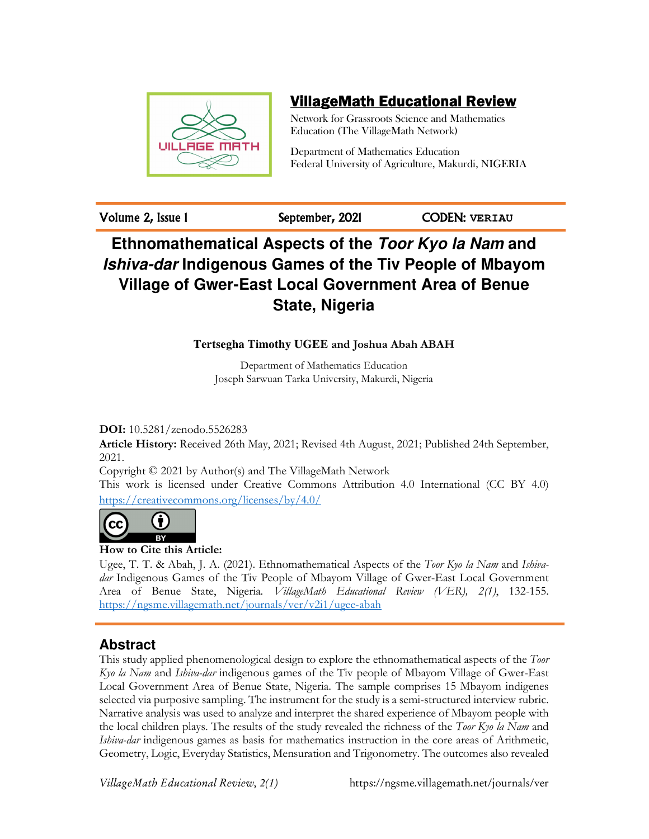

# VillageMath Educational Review

Network for Grassroots Science and Mathematics Education (The VillageMath Network)

Department of Mathematics Education Federal University of Agriculture, Makurdi, NIGERIA

Volume 2, Issue 1 September, 2021 CODEN: **VERIAU**

# **Ethnomathematical Aspects of the Toor Kyo la Nam and Ishiva-dar Indigenous Games of the Tiv People of Mbayom Village of Gwer-East Local Government Area of Benue State, Nigeria**

# **Tertsegha Timothy UGEE and Joshua Abah ABAH**

Department of Mathematics Education Joseph Sarwuan Tarka University, Makurdi, Nigeria

**DOI:** 10.5281/zenodo.5526283

**Article History:** Received 26th May, 2021; Revised 4th August, 2021; Published 24th September, 2021.

Copyright © 2021 by Author(s) and The VillageMath Network

This work is licensed under Creative Commons Attribution 4.0 International (CC BY 4.0) https://creativecommons.org/licenses/by/4.0/



# **How to Cite this Article:**

Ugee, T. T. & Abah, J. A. (2021). Ethnomathematical Aspects of the *Toor Kyo la Nam* and *Ishivadar* Indigenous Games of the Tiv People of Mbayom Village of Gwer-East Local Government Area of Benue State, Nigeria. *VillageMath Educational Review (VER), 2(1)*, 132-155. https://ngsme.villagemath.net/journals/ver/v2i1/ugee-abah

# **Abstract**

This study applied phenomenological design to explore the ethnomathematical aspects of the *Toor Kyo la Nam* and *Ishiva-dar* indigenous games of the Tiv people of Mbayom Village of Gwer-East Local Government Area of Benue State, Nigeria. The sample comprises 15 Mbayom indigenes selected via purposive sampling. The instrument for the study is a semi-structured interview rubric. Narrative analysis was used to analyze and interpret the shared experience of Mbayom people with the local children plays. The results of the study revealed the richness of the *Toor Kyo la Nam* and *Ishiva-dar* indigenous games as basis for mathematics instruction in the core areas of Arithmetic, Geometry, Logic, Everyday Statistics, Mensuration and Trigonometry. The outcomes also revealed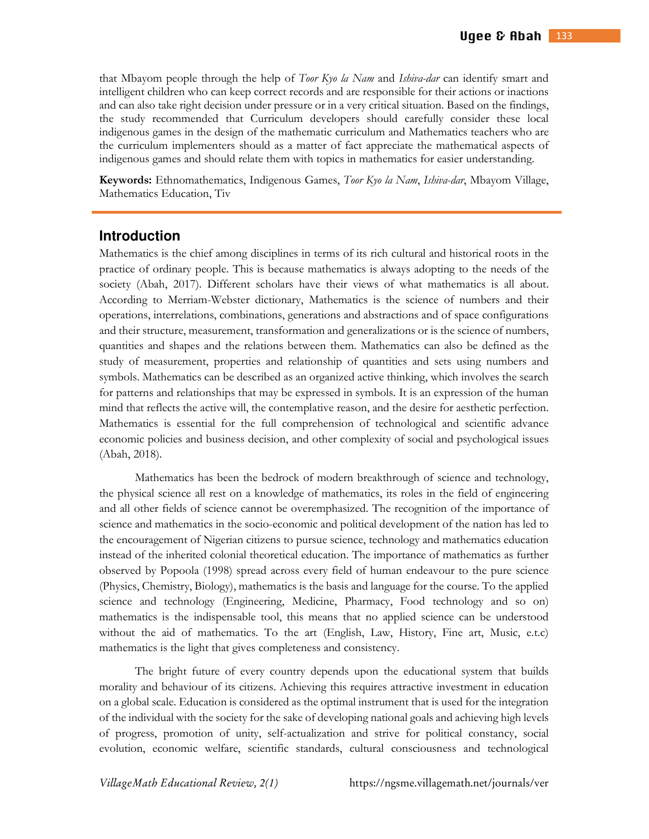that Mbayom people through the help of *Toor Kyo la Nam* and *Ishiva-dar* can identify smart and intelligent children who can keep correct records and are responsible for their actions or inactions and can also take right decision under pressure or in a very critical situation. Based on the findings, the study recommended that Curriculum developers should carefully consider these local indigenous games in the design of the mathematic curriculum and Mathematics teachers who are the curriculum implementers should as a matter of fact appreciate the mathematical aspects of indigenous games and should relate them with topics in mathematics for easier understanding.

**Keywords:** Ethnomathematics, Indigenous Games, *Toor Kyo la Nam*, *Ishiva-dar*, Mbayom Village, Mathematics Education, Tiv

## **Introduction**

Mathematics is the chief among disciplines in terms of its rich cultural and historical roots in the practice of ordinary people. This is because mathematics is always adopting to the needs of the society (Abah, 2017). Different scholars have their views of what mathematics is all about. According to Merriam-Webster dictionary, Mathematics is the science of numbers and their operations, interrelations, combinations, generations and abstractions and of space configurations and their structure, measurement, transformation and generalizations or is the science of numbers, quantities and shapes and the relations between them. Mathematics can also be defined as the study of measurement, properties and relationship of quantities and sets using numbers and symbols. Mathematics can be described as an organized active thinking, which involves the search for patterns and relationships that may be expressed in symbols. It is an expression of the human mind that reflects the active will, the contemplative reason, and the desire for aesthetic perfection. Mathematics is essential for the full comprehension of technological and scientific advance economic policies and business decision, and other complexity of social and psychological issues (Abah, 2018).

 Mathematics has been the bedrock of modern breakthrough of science and technology, the physical science all rest on a knowledge of mathematics, its roles in the field of engineering and all other fields of science cannot be overemphasized. The recognition of the importance of science and mathematics in the socio-economic and political development of the nation has led to the encouragement of Nigerian citizens to pursue science, technology and mathematics education instead of the inherited colonial theoretical education. The importance of mathematics as further observed by Popoola (1998) spread across every field of human endeavour to the pure science (Physics, Chemistry, Biology), mathematics is the basis and language for the course. To the applied science and technology (Engineering, Medicine, Pharmacy, Food technology and so on) mathematics is the indispensable tool, this means that no applied science can be understood without the aid of mathematics. To the art (English, Law, History, Fine art, Music, e.t.c) mathematics is the light that gives completeness and consistency.

 The bright future of every country depends upon the educational system that builds morality and behaviour of its citizens. Achieving this requires attractive investment in education on a global scale. Education is considered as the optimal instrument that is used for the integration of the individual with the society for the sake of developing national goals and achieving high levels of progress, promotion of unity, self-actualization and strive for political constancy, social evolution, economic welfare, scientific standards, cultural consciousness and technological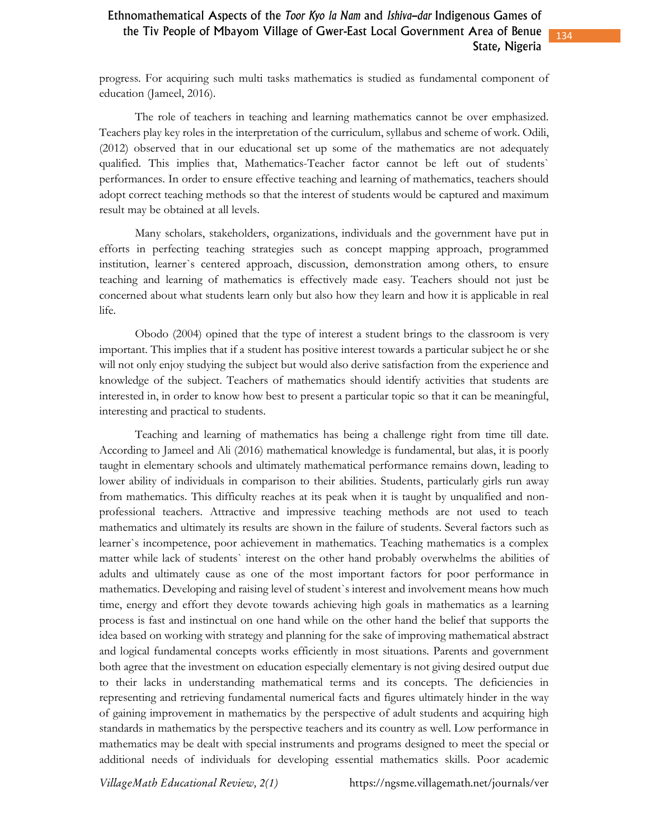progress. For acquiring such multi tasks mathematics is studied as fundamental component of education (Jameel, 2016).

 The role of teachers in teaching and learning mathematics cannot be over emphasized. Teachers play key roles in the interpretation of the curriculum, syllabus and scheme of work. Odili, (2012) observed that in our educational set up some of the mathematics are not adequately qualified. This implies that, Mathematics-Teacher factor cannot be left out of students` performances. In order to ensure effective teaching and learning of mathematics, teachers should adopt correct teaching methods so that the interest of students would be captured and maximum result may be obtained at all levels.

 Many scholars, stakeholders, organizations, individuals and the government have put in efforts in perfecting teaching strategies such as concept mapping approach, programmed institution, learner`s centered approach, discussion, demonstration among others, to ensure teaching and learning of mathematics is effectively made easy. Teachers should not just be concerned about what students learn only but also how they learn and how it is applicable in real life.

 Obodo (2004) opined that the type of interest a student brings to the classroom is very important. This implies that if a student has positive interest towards a particular subject he or she will not only enjoy studying the subject but would also derive satisfaction from the experience and knowledge of the subject. Teachers of mathematics should identify activities that students are interested in, in order to know how best to present a particular topic so that it can be meaningful, interesting and practical to students.

 Teaching and learning of mathematics has being a challenge right from time till date. According to Jameel and Ali (2016) mathematical knowledge is fundamental, but alas, it is poorly taught in elementary schools and ultimately mathematical performance remains down, leading to lower ability of individuals in comparison to their abilities. Students, particularly girls run away from mathematics. This difficulty reaches at its peak when it is taught by unqualified and nonprofessional teachers. Attractive and impressive teaching methods are not used to teach mathematics and ultimately its results are shown in the failure of students. Several factors such as learner`s incompetence, poor achievement in mathematics. Teaching mathematics is a complex matter while lack of students` interest on the other hand probably overwhelms the abilities of adults and ultimately cause as one of the most important factors for poor performance in mathematics. Developing and raising level of student`s interest and involvement means how much time, energy and effort they devote towards achieving high goals in mathematics as a learning process is fast and instinctual on one hand while on the other hand the belief that supports the idea based on working with strategy and planning for the sake of improving mathematical abstract and logical fundamental concepts works efficiently in most situations. Parents and government both agree that the investment on education especially elementary is not giving desired output due to their lacks in understanding mathematical terms and its concepts. The deficiencies in representing and retrieving fundamental numerical facts and figures ultimately hinder in the way of gaining improvement in mathematics by the perspective of adult students and acquiring high standards in mathematics by the perspective teachers and its country as well. Low performance in mathematics may be dealt with special instruments and programs designed to meet the special or additional needs of individuals for developing essential mathematics skills. Poor academic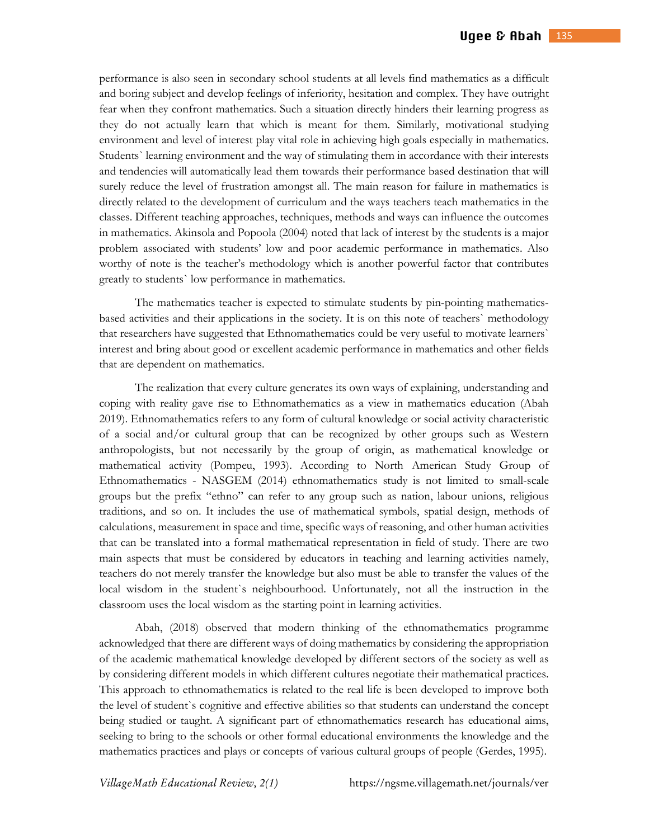performance is also seen in secondary school students at all levels find mathematics as a difficult and boring subject and develop feelings of inferiority, hesitation and complex. They have outright fear when they confront mathematics. Such a situation directly hinders their learning progress as they do not actually learn that which is meant for them. Similarly, motivational studying environment and level of interest play vital role in achieving high goals especially in mathematics. Students` learning environment and the way of stimulating them in accordance with their interests and tendencies will automatically lead them towards their performance based destination that will surely reduce the level of frustration amongst all. The main reason for failure in mathematics is directly related to the development of curriculum and the ways teachers teach mathematics in the classes. Different teaching approaches, techniques, methods and ways can influence the outcomes in mathematics. Akinsola and Popoola (2004) noted that lack of interest by the students is a major problem associated with students' low and poor academic performance in mathematics. Also worthy of note is the teacher's methodology which is another powerful factor that contributes greatly to students` low performance in mathematics.

 The mathematics teacher is expected to stimulate students by pin-pointing mathematicsbased activities and their applications in the society. It is on this note of teachers` methodology that researchers have suggested that Ethnomathematics could be very useful to motivate learners` interest and bring about good or excellent academic performance in mathematics and other fields that are dependent on mathematics.

 The realization that every culture generates its own ways of explaining, understanding and coping with reality gave rise to Ethnomathematics as a view in mathematics education (Abah 2019). Ethnomathematics refers to any form of cultural knowledge or social activity characteristic of a social and/or cultural group that can be recognized by other groups such as Western anthropologists, but not necessarily by the group of origin, as mathematical knowledge or mathematical activity (Pompeu, 1993). According to North American Study Group of Ethnomathematics - NASGEM (2014) ethnomathematics study is not limited to small-scale groups but the prefix "ethno" can refer to any group such as nation, labour unions, religious traditions, and so on. It includes the use of mathematical symbols, spatial design, methods of calculations, measurement in space and time, specific ways of reasoning, and other human activities that can be translated into a formal mathematical representation in field of study. There are two main aspects that must be considered by educators in teaching and learning activities namely, teachers do not merely transfer the knowledge but also must be able to transfer the values of the local wisdom in the student`s neighbourhood. Unfortunately, not all the instruction in the classroom uses the local wisdom as the starting point in learning activities.

 Abah, (2018) observed that modern thinking of the ethnomathematics programme acknowledged that there are different ways of doing mathematics by considering the appropriation of the academic mathematical knowledge developed by different sectors of the society as well as by considering different models in which different cultures negotiate their mathematical practices. This approach to ethnomathematics is related to the real life is been developed to improve both the level of student`s cognitive and effective abilities so that students can understand the concept being studied or taught. A significant part of ethnomathematics research has educational aims, seeking to bring to the schools or other formal educational environments the knowledge and the mathematics practices and plays or concepts of various cultural groups of people (Gerdes, 1995).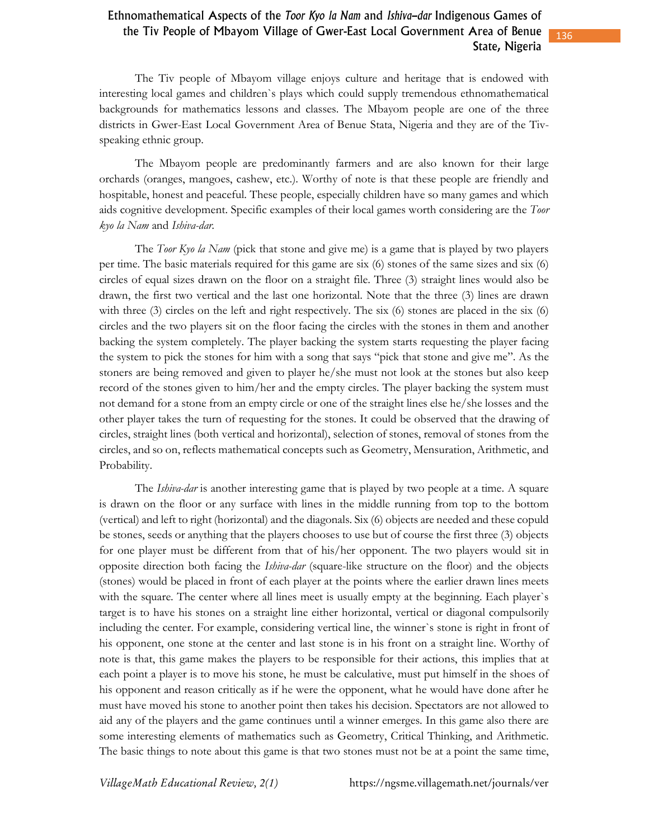The Tiv people of Mbayom village enjoys culture and heritage that is endowed with interesting local games and children`s plays which could supply tremendous ethnomathematical backgrounds for mathematics lessons and classes. The Mbayom people are one of the three districts in Gwer-East Local Government Area of Benue Stata, Nigeria and they are of the Tivspeaking ethnic group.

 The Mbayom people are predominantly farmers and are also known for their large orchards (oranges, mangoes, cashew, etc.). Worthy of note is that these people are friendly and hospitable, honest and peaceful. These people, especially children have so many games and which aids cognitive development. Specific examples of their local games worth considering are the *Toor kyo la Nam* and *Ishiva-dar.*

 The *Toor Kyo la Nam* (pick that stone and give me) is a game that is played by two players per time. The basic materials required for this game are six (6) stones of the same sizes and six (6) circles of equal sizes drawn on the floor on a straight file. Three (3) straight lines would also be drawn, the first two vertical and the last one horizontal. Note that the three (3) lines are drawn with three (3) circles on the left and right respectively. The six (6) stones are placed in the six (6) circles and the two players sit on the floor facing the circles with the stones in them and another backing the system completely. The player backing the system starts requesting the player facing the system to pick the stones for him with a song that says "pick that stone and give me". As the stoners are being removed and given to player he/she must not look at the stones but also keep record of the stones given to him/her and the empty circles. The player backing the system must not demand for a stone from an empty circle or one of the straight lines else he/she losses and the other player takes the turn of requesting for the stones. It could be observed that the drawing of circles, straight lines (both vertical and horizontal), selection of stones, removal of stones from the circles, and so on, reflects mathematical concepts such as Geometry, Mensuration, Arithmetic, and Probability.

 The *Ishiva-dar* is another interesting game that is played by two people at a time. A square is drawn on the floor or any surface with lines in the middle running from top to the bottom (vertical) and left to right (horizontal) and the diagonals. Six (6) objects are needed and these copuld be stones, seeds or anything that the players chooses to use but of course the first three (3) objects for one player must be different from that of his/her opponent. The two players would sit in opposite direction both facing the *Ishiva-dar* (square-like structure on the floor) and the objects (stones) would be placed in front of each player at the points where the earlier drawn lines meets with the square. The center where all lines meet is usually empty at the beginning. Each player's target is to have his stones on a straight line either horizontal, vertical or diagonal compulsorily including the center. For example, considering vertical line, the winner`s stone is right in front of his opponent, one stone at the center and last stone is in his front on a straight line. Worthy of note is that, this game makes the players to be responsible for their actions, this implies that at each point a player is to move his stone, he must be calculative, must put himself in the shoes of his opponent and reason critically as if he were the opponent, what he would have done after he must have moved his stone to another point then takes his decision. Spectators are not allowed to aid any of the players and the game continues until a winner emerges. In this game also there are some interesting elements of mathematics such as Geometry, Critical Thinking, and Arithmetic. The basic things to note about this game is that two stones must not be at a point the same time,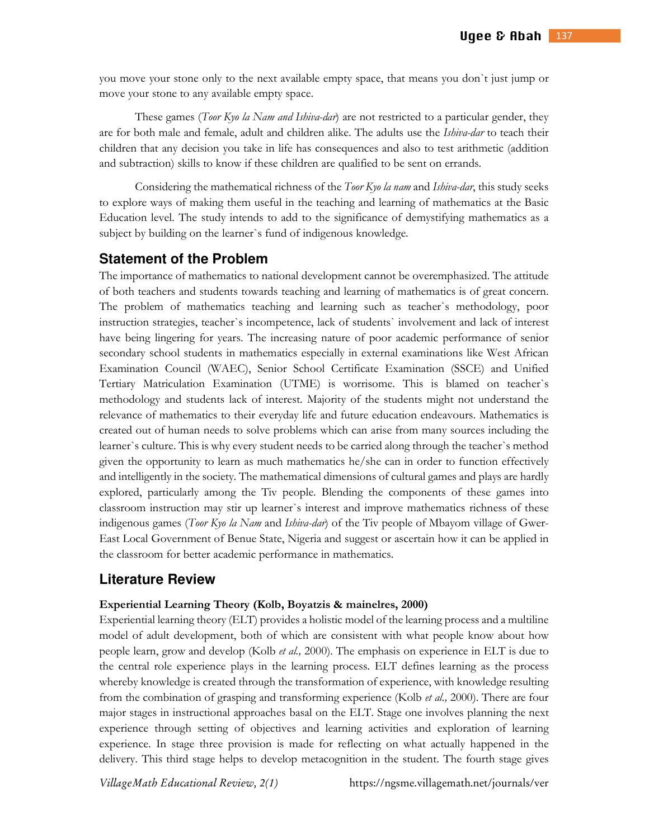you move your stone only to the next available empty space, that means you don`t just jump or move your stone to any available empty space.

 These games (*Toor Kyo la Nam and Ishiva-dar*) are not restricted to a particular gender, they are for both male and female, adult and children alike. The adults use the *Ishiva-dar* to teach their children that any decision you take in life has consequences and also to test arithmetic (addition and subtraction) skills to know if these children are qualified to be sent on errands.

 Considering the mathematical richness of the *Toor Kyo la nam* and *Ishiva-dar*, this study seeks to explore ways of making them useful in the teaching and learning of mathematics at the Basic Education level. The study intends to add to the significance of demystifying mathematics as a subject by building on the learner`s fund of indigenous knowledge.

# **Statement of the Problem**

The importance of mathematics to national development cannot be overemphasized. The attitude of both teachers and students towards teaching and learning of mathematics is of great concern. The problem of mathematics teaching and learning such as teacher`s methodology, poor instruction strategies, teacher`s incompetence, lack of students` involvement and lack of interest have being lingering for years. The increasing nature of poor academic performance of senior secondary school students in mathematics especially in external examinations like West African Examination Council (WAEC), Senior School Certificate Examination (SSCE) and Unified Tertiary Matriculation Examination (UTME) is worrisome. This is blamed on teacher`s methodology and students lack of interest. Majority of the students might not understand the relevance of mathematics to their everyday life and future education endeavours. Mathematics is created out of human needs to solve problems which can arise from many sources including the learner`s culture. This is why every student needs to be carried along through the teacher`s method given the opportunity to learn as much mathematics he/she can in order to function effectively and intelligently in the society. The mathematical dimensions of cultural games and plays are hardly explored, particularly among the Tiv people. Blending the components of these games into classroom instruction may stir up learner`s interest and improve mathematics richness of these indigenous games (*Toor Kyo la Nam* and *Ishiva-dar*) of the Tiv people of Mbayom village of Gwer-East Local Government of Benue State, Nigeria and suggest or ascertain how it can be applied in the classroom for better academic performance in mathematics.

## **Literature Review**

### **Experiential Learning Theory (Kolb, Boyatzis & mainelres, 2000)**

Experiential learning theory (ELT) provides a holistic model of the learning process and a multiline model of adult development, both of which are consistent with what people know about how people learn, grow and develop (Kolb *et al.,* 2000). The emphasis on experience in ELT is due to the central role experience plays in the learning process. ELT defines learning as the process whereby knowledge is created through the transformation of experience, with knowledge resulting from the combination of grasping and transforming experience (Kolb *et al.,* 2000). There are four major stages in instructional approaches basal on the ELT. Stage one involves planning the next experience through setting of objectives and learning activities and exploration of learning experience. In stage three provision is made for reflecting on what actually happened in the delivery. This third stage helps to develop metacognition in the student. The fourth stage gives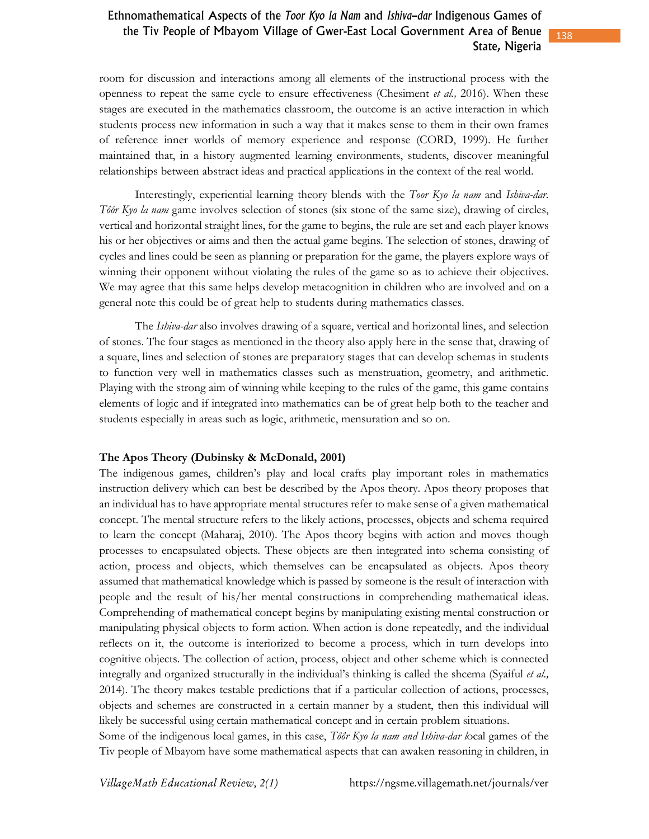room for discussion and interactions among all elements of the instructional process with the openness to repeat the same cycle to ensure effectiveness (Chesiment *et al.,* 2016). When these stages are executed in the mathematics classroom, the outcome is an active interaction in which students process new information in such a way that it makes sense to them in their own frames of reference inner worlds of memory experience and response (CORD, 1999). He further maintained that, in a history augmented learning environments, students, discover meaningful relationships between abstract ideas and practical applications in the context of the real world.

Interestingly, experiential learning theory blends with the *Toor Kyo la nam* and *Ishiva-dar. Tôôr Kyo la nam* game involves selection of stones (six stone of the same size), drawing of circles, vertical and horizontal straight lines, for the game to begins, the rule are set and each player knows his or her objectives or aims and then the actual game begins. The selection of stones, drawing of cycles and lines could be seen as planning or preparation for the game, the players explore ways of winning their opponent without violating the rules of the game so as to achieve their objectives. We may agree that this same helps develop metacognition in children who are involved and on a general note this could be of great help to students during mathematics classes.

The *Ishiva-dar* also involves drawing of a square, vertical and horizontal lines, and selection of stones. The four stages as mentioned in the theory also apply here in the sense that, drawing of a square, lines and selection of stones are preparatory stages that can develop schemas in students to function very well in mathematics classes such as menstruation, geometry, and arithmetic. Playing with the strong aim of winning while keeping to the rules of the game, this game contains elements of logic and if integrated into mathematics can be of great help both to the teacher and students especially in areas such as logic, arithmetic, mensuration and so on.

#### **The Apos Theory (Dubinsky & McDonald, 2001)**

The indigenous games, children's play and local crafts play important roles in mathematics instruction delivery which can best be described by the Apos theory. Apos theory proposes that an individual has to have appropriate mental structures refer to make sense of a given mathematical concept. The mental structure refers to the likely actions, processes, objects and schema required to learn the concept (Maharaj, 2010). The Apos theory begins with action and moves though processes to encapsulated objects. These objects are then integrated into schema consisting of action, process and objects, which themselves can be encapsulated as objects. Apos theory assumed that mathematical knowledge which is passed by someone is the result of interaction with people and the result of his/her mental constructions in comprehending mathematical ideas. Comprehending of mathematical concept begins by manipulating existing mental construction or manipulating physical objects to form action. When action is done repeatedly, and the individual reflects on it, the outcome is interiorized to become a process, which in turn develops into cognitive objects. The collection of action, process, object and other scheme which is connected integrally and organized structurally in the individual's thinking is called the shcema (Syaiful *et al.,* 2014). The theory makes testable predictions that if a particular collection of actions, processes, objects and schemes are constructed in a certain manner by a student, then this individual will likely be successful using certain mathematical concept and in certain problem situations.

Some of the indigenous local games, in this case, *Tôôr Kyo la nam and Ishiva-dar l*ocal games of the Tiv people of Mbayom have some mathematical aspects that can awaken reasoning in children, in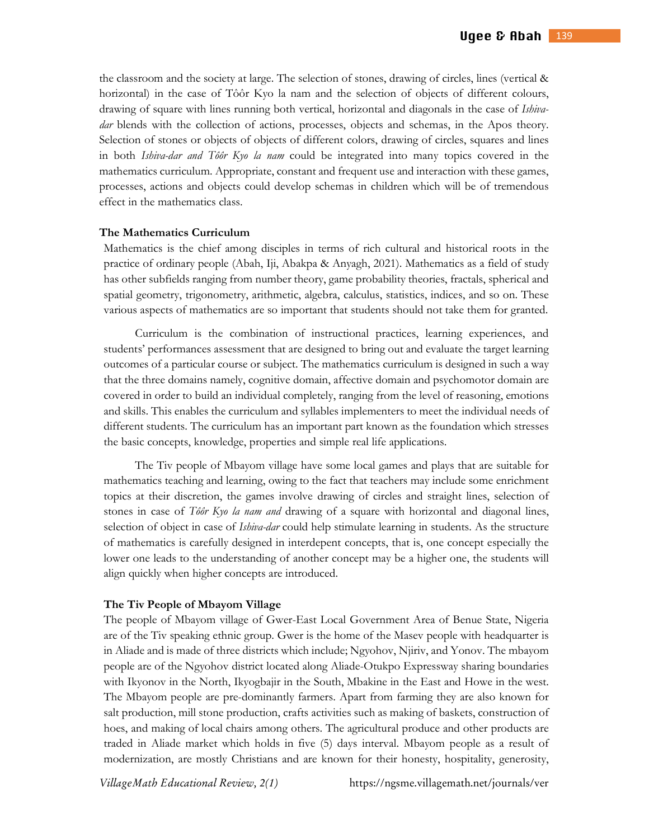the classroom and the society at large. The selection of stones, drawing of circles, lines (vertical & horizontal) in the case of Tôôr Kyo la nam and the selection of objects of different colours, drawing of square with lines running both vertical, horizontal and diagonals in the case of *Ishivadar* blends with the collection of actions, processes, objects and schemas, in the Apos theory. Selection of stones or objects of objects of different colors, drawing of circles, squares and lines in both *Ishiva-dar and Tôôr Kyo la nam* could be integrated into many topics covered in the mathematics curriculum. Appropriate, constant and frequent use and interaction with these games, processes, actions and objects could develop schemas in children which will be of tremendous effect in the mathematics class.

### **The Mathematics Curriculum**

Mathematics is the chief among disciples in terms of rich cultural and historical roots in the practice of ordinary people (Abah, Iji, Abakpa & Anyagh, 2021). Mathematics as a field of study has other subfields ranging from number theory, game probability theories, fractals, spherical and spatial geometry, trigonometry, arithmetic, algebra, calculus, statistics, indices, and so on. These various aspects of mathematics are so important that students should not take them for granted.

 Curriculum is the combination of instructional practices, learning experiences, and students' performances assessment that are designed to bring out and evaluate the target learning outcomes of a particular course or subject. The mathematics curriculum is designed in such a way that the three domains namely, cognitive domain, affective domain and psychomotor domain are covered in order to build an individual completely, ranging from the level of reasoning, emotions and skills. This enables the curriculum and syllables implementers to meet the individual needs of different students. The curriculum has an important part known as the foundation which stresses the basic concepts, knowledge, properties and simple real life applications.

The Tiv people of Mbayom village have some local games and plays that are suitable for mathematics teaching and learning, owing to the fact that teachers may include some enrichment topics at their discretion, the games involve drawing of circles and straight lines, selection of stones in case of *Tôôr Kyo la nam and* drawing of a square with horizontal and diagonal lines, selection of object in case of *Ishiva-dar* could help stimulate learning in students. As the structure of mathematics is carefully designed in interdepent concepts, that is, one concept especially the lower one leads to the understanding of another concept may be a higher one, the students will align quickly when higher concepts are introduced.

#### **The Tiv People of Mbayom Village**

The people of Mbayom village of Gwer-East Local Government Area of Benue State, Nigeria are of the Tiv speaking ethnic group. Gwer is the home of the Masev people with headquarter is in Aliade and is made of three districts which include; Ngyohov, Njiriv, and Yonov. The mbayom people are of the Ngyohov district located along Aliade-Otukpo Expressway sharing boundaries with Ikyonov in the North, Ikyogbajir in the South, Mbakine in the East and Howe in the west. The Mbayom people are pre-dominantly farmers. Apart from farming they are also known for salt production, mill stone production, crafts activities such as making of baskets, construction of hoes, and making of local chairs among others. The agricultural produce and other products are traded in Aliade market which holds in five (5) days interval. Mbayom people as a result of modernization, are mostly Christians and are known for their honesty, hospitality, generosity,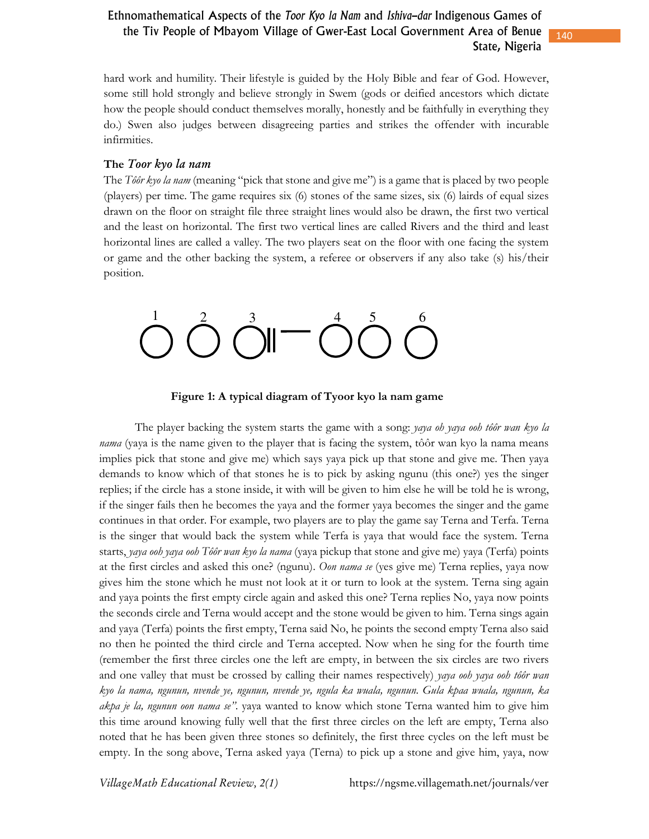hard work and humility. Their lifestyle is guided by the Holy Bible and fear of God. However, some still hold strongly and believe strongly in Swem (gods or deified ancestors which dictate how the people should conduct themselves morally, honestly and be faithfully in everything they do.) Swen also judges between disagreeing parties and strikes the offender with incurable infirmities.

### The *Toor kyo la nam*

The *Tôôr kyo la nam* (meaning "pick that stone and give me") is a game that is placed by two people (players) per time. The game requires six (6) stones of the same sizes, six (6) lairds of equal sizes drawn on the floor on straight file three straight lines would also be drawn, the first two vertical and the least on horizontal. The first two vertical lines are called Rivers and the third and least horizontal lines are called a valley. The two players seat on the floor with one facing the system or game and the other backing the system, a referee or observers if any also take (s) his/their position.



**Figure 1: A typical diagram of Tyoor kyo la nam game** 

The player backing the system starts the game with a song: *yaya oh yaya ooh tôôr wan kyo la nama* (yaya is the name given to the player that is facing the system, tôôr wan kyo la nama means implies pick that stone and give me) which says yaya pick up that stone and give me. Then yaya demands to know which of that stones he is to pick by asking ngunu (this one?) yes the singer replies; if the circle has a stone inside, it with will be given to him else he will be told he is wrong, if the singer fails then he becomes the yaya and the former yaya becomes the singer and the game continues in that order. For example, two players are to play the game say Terna and Terfa. Terna is the singer that would back the system while Terfa is yaya that would face the system. Terna starts, *yaya ooh yaya ooh Tôôr wan kyo la nama* (yaya pickup that stone and give me) yaya (Terfa) points at the first circles and asked this one? (ngunu). *Oon nama se* (yes give me) Terna replies, yaya now gives him the stone which he must not look at it or turn to look at the system. Terna sing again and yaya points the first empty circle again and asked this one? Terna replies No, yaya now points the seconds circle and Terna would accept and the stone would be given to him. Terna sings again and yaya (Terfa) points the first empty, Terna said No, he points the second empty Terna also said no then he pointed the third circle and Terna accepted. Now when he sing for the fourth time (remember the first three circles one the left are empty, in between the six circles are two rivers and one valley that must be crossed by calling their names respectively) *yaya ooh yaya ooh tôôr wan kyo la nama, ngunun, nvende ye, ngunun, nvende ye, ngula ka wuala, ngunun. Gula kpaa wuala, ngunun, ka akpa je la, ngunun oon nama se"*. yaya wanted to know which stone Terna wanted him to give him this time around knowing fully well that the first three circles on the left are empty, Terna also noted that he has been given three stones so definitely, the first three cycles on the left must be empty. In the song above, Terna asked yaya (Terna) to pick up a stone and give him, yaya, now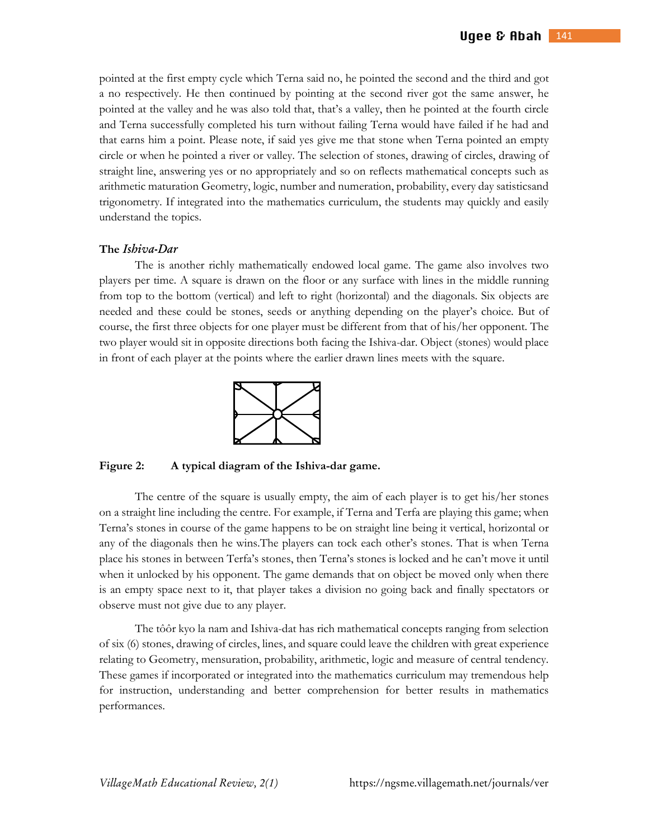pointed at the first empty cycle which Terna said no, he pointed the second and the third and got a no respectively. He then continued by pointing at the second river got the same answer, he pointed at the valley and he was also told that, that's a valley, then he pointed at the fourth circle and Terna successfully completed his turn without failing Terna would have failed if he had and that earns him a point. Please note, if said yes give me that stone when Terna pointed an empty circle or when he pointed a river or valley. The selection of stones, drawing of circles, drawing of straight line, answering yes or no appropriately and so on reflects mathematical concepts such as arithmetic maturation Geometry, logic, number and numeration, probability, every day satisticsand trigonometry. If integrated into the mathematics curriculum, the students may quickly and easily understand the topics.

### **The** *IshivaDar*

 The is another richly mathematically endowed local game. The game also involves two players per time. A square is drawn on the floor or any surface with lines in the middle running from top to the bottom (vertical) and left to right (horizontal) and the diagonals. Six objects are needed and these could be stones, seeds or anything depending on the player's choice. But of course, the first three objects for one player must be different from that of his/her opponent. The two player would sit in opposite directions both facing the Ishiva-dar. Object (stones) would place in front of each player at the points where the earlier drawn lines meets with the square.



**Figure 2: A typical diagram of the Ishiva-dar game.** 

The centre of the square is usually empty, the aim of each player is to get his/her stones on a straight line including the centre. For example, if Terna and Terfa are playing this game; when Terna's stones in course of the game happens to be on straight line being it vertical, horizontal or any of the diagonals then he wins.The players can tock each other's stones. That is when Terna place his stones in between Terfa's stones, then Terna's stones is locked and he can't move it until when it unlocked by his opponent. The game demands that on object be moved only when there is an empty space next to it, that player takes a division no going back and finally spectators or observe must not give due to any player.

 The tôôr kyo la nam and Ishiva-dat has rich mathematical concepts ranging from selection of six (6) stones, drawing of circles, lines, and square could leave the children with great experience relating to Geometry, mensuration, probability, arithmetic, logic and measure of central tendency. These games if incorporated or integrated into the mathematics curriculum may tremendous help for instruction, understanding and better comprehension for better results in mathematics performances.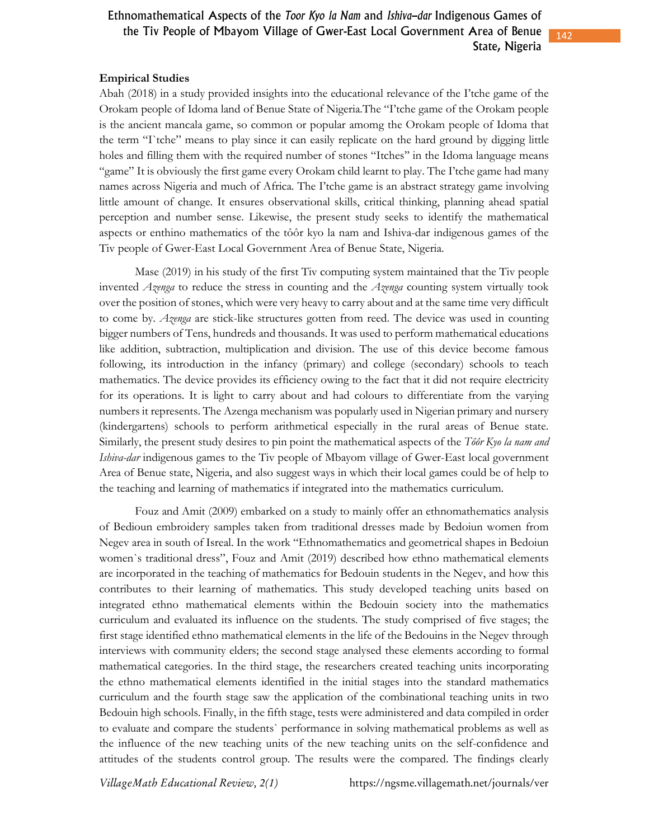### **Empirical Studies**

Abah (2018) in a study provided insights into the educational relevance of the I'tche game of the Orokam people of Idoma land of Benue State of Nigeria.The "I'tche game of the Orokam people is the ancient mancala game, so common or popular amomg the Orokam people of Idoma that the term "I`tche" means to play since it can easily replicate on the hard ground by digging little holes and filling them with the required number of stones "Itches'' in the Idoma language means "game" It is obviously the first game every Orokam child learnt to play. The I'tche game had many names across Nigeria and much of Africa. The I'tche game is an abstract strategy game involving little amount of change. It ensures observational skills, critical thinking, planning ahead spatial perception and number sense. Likewise, the present study seeks to identify the mathematical aspects or enthino mathematics of the tôôr kyo la nam and Ishiva-dar indigenous games of the Tiv people of Gwer-East Local Government Area of Benue State, Nigeria.

 Mase (2019) in his study of the first Tiv computing system maintained that the Tiv people invented *Azenga* to reduce the stress in counting and the *Azenga* counting system virtually took over the position of stones, which were very heavy to carry about and at the same time very difficult to come by. *Azenga* are stick-like structures gotten from reed. The device was used in counting bigger numbers of Tens, hundreds and thousands. It was used to perform mathematical educations like addition, subtraction, multiplication and division. The use of this device become famous following, its introduction in the infancy (primary) and college (secondary) schools to teach mathematics. The device provides its efficiency owing to the fact that it did not require electricity for its operations. It is light to carry about and had colours to differentiate from the varying numbers it represents. The Azenga mechanism was popularly used in Nigerian primary and nursery (kindergartens) schools to perform arithmetical especially in the rural areas of Benue state. Similarly, the present study desires to pin point the mathematical aspects of the *Tôôr Kyo la nam and Ishiva-dar* indigenous games to the Tiv people of Mbayom village of Gwer-East local government Area of Benue state, Nigeria, and also suggest ways in which their local games could be of help to the teaching and learning of mathematics if integrated into the mathematics curriculum.

Fouz and Amit (2009) embarked on a study to mainly offer an ethnomathematics analysis of Bedioun embroidery samples taken from traditional dresses made by Bedoiun women from Negev area in south of Isreal. In the work "Ethnomathematics and geometrical shapes in Bedoiun women`s traditional dress", Fouz and Amit (2019) described how ethno mathematical elements are incorporated in the teaching of mathematics for Bedouin students in the Negev, and how this contributes to their learning of mathematics. This study developed teaching units based on integrated ethno mathematical elements within the Bedouin society into the mathematics curriculum and evaluated its influence on the students. The study comprised of five stages; the first stage identified ethno mathematical elements in the life of the Bedouins in the Negev through interviews with community elders; the second stage analysed these elements according to formal mathematical categories. In the third stage, the researchers created teaching units incorporating the ethno mathematical elements identified in the initial stages into the standard mathematics curriculum and the fourth stage saw the application of the combinational teaching units in two Bedouin high schools. Finally, in the fifth stage, tests were administered and data compiled in order to evaluate and compare the students` performance in solving mathematical problems as well as the influence of the new teaching units of the new teaching units on the self-confidence and attitudes of the students control group. The results were the compared. The findings clearly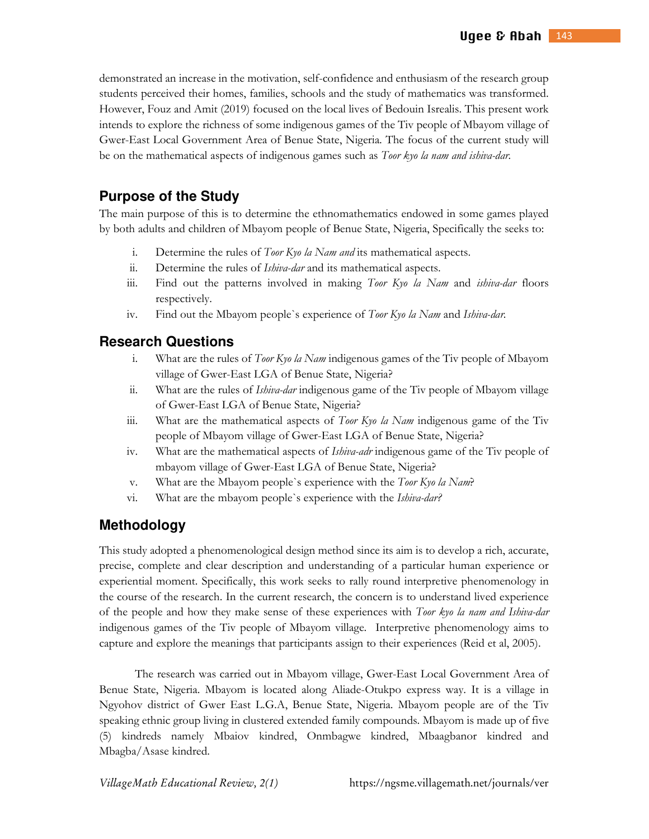demonstrated an increase in the motivation, self-confidence and enthusiasm of the research group students perceived their homes, families, schools and the study of mathematics was transformed. However, Fouz and Amit (2019) focused on the local lives of Bedouin Isrealis. This present work intends to explore the richness of some indigenous games of the Tiv people of Mbayom village of Gwer-East Local Government Area of Benue State, Nigeria. The focus of the current study will be on the mathematical aspects of indigenous games such as *Toor kyo la nam and ishiva-dar.*

# **Purpose of the Study**

The main purpose of this is to determine the ethnomathematics endowed in some games played by both adults and children of Mbayom people of Benue State, Nigeria, Specifically the seeks to:

- i. Determine the rules of *Toor Kyo la Nam and* its mathematical aspects.
- ii. Determine the rules of *Ishiva-dar* and its mathematical aspects.
- iii. Find out the patterns involved in making *Toor Kyo la Nam* and *ishiva-dar* floors respectively.
- iv. Find out the Mbayom people`s experience of *Toor Kyo la Nam* and *Ishiva-dar.*

# **Research Questions**

- i. What are the rules of *Toor Kyo la Nam* indigenous games of the Tiv people of Mbayom village of Gwer-East LGA of Benue State, Nigeria?
- ii. What are the rules of *Ishiva-dar* indigenous game of the Tiv people of Mbayom village of Gwer-East LGA of Benue State, Nigeria?
- iii. What are the mathematical aspects of *Toor Kyo la Nam* indigenous game of the Tiv people of Mbayom village of Gwer-East LGA of Benue State, Nigeria?
- iv. What are the mathematical aspects of *Ishiva-adr* indigenous game of the Tiv people of mbayom village of Gwer-East LGA of Benue State, Nigeria?
- v. What are the Mbayom people`s experience with the *Toor Kyo la Nam*?
- vi. What are the mbayom people`s experience with the *Ishiva-dar?*

# **Methodology**

This study adopted a phenomenological design method since its aim is to develop a rich, accurate, precise, complete and clear description and understanding of a particular human experience or experiential moment. Specifically, this work seeks to rally round interpretive phenomenology in the course of the research. In the current research, the concern is to understand lived experience of the people and how they make sense of these experiences with *Toor kyo la nam and Ishiva-dar* indigenous games of the Tiv people of Mbayom village. Interpretive phenomenology aims to capture and explore the meanings that participants assign to their experiences (Reid et al, 2005).

The research was carried out in Mbayom village, Gwer-East Local Government Area of Benue State, Nigeria. Mbayom is located along Aliade-Otukpo express way. It is a village in Ngyohov district of Gwer East L.G.A, Benue State, Nigeria. Mbayom people are of the Tiv speaking ethnic group living in clustered extended family compounds. Mbayom is made up of five (5) kindreds namely Mbaiov kindred, Onmbagwe kindred, Mbaagbanor kindred and Mbagba/Asase kindred.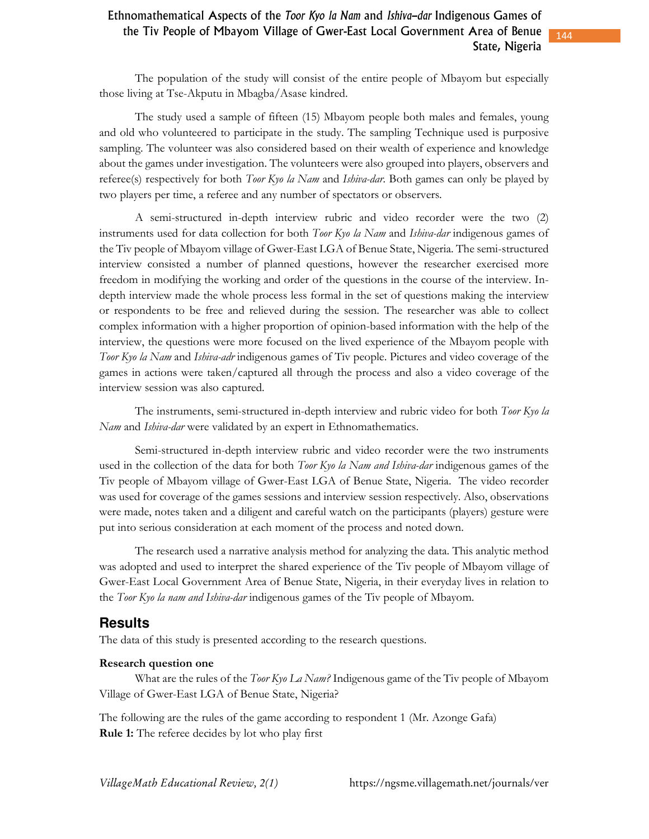The population of the study will consist of the entire people of Mbayom but especially those living at Tse-Akputu in Mbagba/Asase kindred.

The study used a sample of fifteen (15) Mbayom people both males and females, young and old who volunteered to participate in the study. The sampling Technique used is purposive sampling. The volunteer was also considered based on their wealth of experience and knowledge about the games under investigation. The volunteers were also grouped into players, observers and referee(s) respectively for both *Toor Kyo la Nam* and *Ishiva-dar.* Both games can only be played by two players per time, a referee and any number of spectators or observers.

A semi-structured in-depth interview rubric and video recorder were the two (2) instruments used for data collection for both *Toor Kyo la Nam* and *Ishiva-dar* indigenous games of the Tiv people of Mbayom village of Gwer-East LGA of Benue State, Nigeria. The semi-structured interview consisted a number of planned questions, however the researcher exercised more freedom in modifying the working and order of the questions in the course of the interview. Indepth interview made the whole process less formal in the set of questions making the interview or respondents to be free and relieved during the session. The researcher was able to collect complex information with a higher proportion of opinion-based information with the help of the interview, the questions were more focused on the lived experience of the Mbayom people with *Toor Kyo la Nam* and *Ishiva-adr* indigenous games of Tiv people. Pictures and video coverage of the games in actions were taken/captured all through the process and also a video coverage of the interview session was also captured.

The instruments, semi-structured in-depth interview and rubric video for both *Toor Kyo la Nam* and *Ishiva-dar* were validated by an expert in Ethnomathematics.

Semi-structured in-depth interview rubric and video recorder were the two instruments used in the collection of the data for both *Toor Kyo la Nam and Ishiva-dar* indigenous games of the Tiv people of Mbayom village of Gwer-East LGA of Benue State, Nigeria. The video recorder was used for coverage of the games sessions and interview session respectively. Also, observations were made, notes taken and a diligent and careful watch on the participants (players) gesture were put into serious consideration at each moment of the process and noted down.

The research used a narrative analysis method for analyzing the data. This analytic method was adopted and used to interpret the shared experience of the Tiv people of Mbayom village of Gwer-East Local Government Area of Benue State, Nigeria, in their everyday lives in relation to the *Toor Kyo la nam and Ishiva-dar* indigenous games of the Tiv people of Mbayom.

# **Results**

The data of this study is presented according to the research questions.

### **Research question one**

 What are the rules of the *Toor Kyo La Nam?* Indigenous game of the Tiv people of Mbayom Village of Gwer-East LGA of Benue State, Nigeria?

The following are the rules of the game according to respondent 1 (Mr. Azonge Gafa) **Rule 1:** The referee decides by lot who play first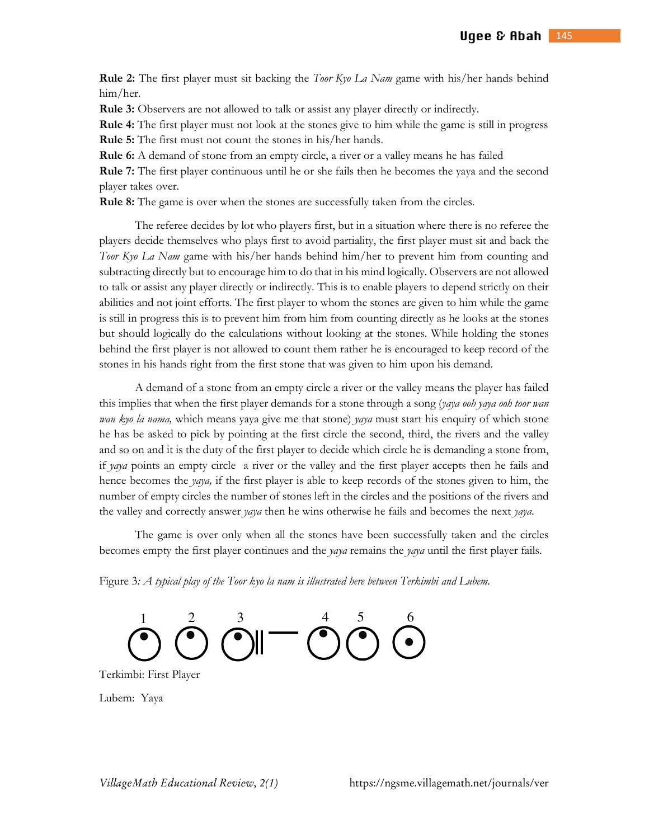**Rule 2:** The first player must sit backing the *Toor Kyo La Nam* game with his/her hands behind him/her.

**Rule 3:** Observers are not allowed to talk or assist any player directly or indirectly.

**Rule 4:** The first player must not look at the stones give to him while the game is still in progress **Rule 5:** The first must not count the stones in his/her hands.

**Rule 6:** A demand of stone from an empty circle, a river or a valley means he has failed

**Rule 7:** The first player continuous until he or she fails then he becomes the yaya and the second player takes over.

**Rule 8:** The game is over when the stones are successfully taken from the circles.

 The referee decides by lot who players first, but in a situation where there is no referee the players decide themselves who plays first to avoid partiality, the first player must sit and back the *Toor Kyo La Nam* game with his/her hands behind him/her to prevent him from counting and subtracting directly but to encourage him to do that in his mind logically. Observers are not allowed to talk or assist any player directly or indirectly. This is to enable players to depend strictly on their abilities and not joint efforts. The first player to whom the stones are given to him while the game is still in progress this is to prevent him from him from counting directly as he looks at the stones but should logically do the calculations without looking at the stones. While holding the stones behind the first player is not allowed to count them rather he is encouraged to keep record of the stones in his hands right from the first stone that was given to him upon his demand.

 A demand of a stone from an empty circle a river or the valley means the player has failed this implies that when the first player demands for a stone through a song (*yaya ooh yaya ooh toor wan wan kyo la nama,* which means yaya give me that stone) *yaya* must start his enquiry of which stone he has be asked to pick by pointing at the first circle the second, third, the rivers and the valley and so on and it is the duty of the first player to decide which circle he is demanding a stone from, if *yaya* points an empty circle a river or the valley and the first player accepts then he fails and hence becomes the *yaya,* if the first player is able to keep records of the stones given to him, the number of empty circles the number of stones left in the circles and the positions of the rivers and the valley and correctly answer *yaya* then he wins otherwise he fails and becomes the next *yaya*.

The game is over only when all the stones have been successfully taken and the circles becomes empty the first player continues and the *yaya* remains the *yaya* until the first player fails.

Figure 3*: A typical play of the Toor kyo la nam is illustrated here between Terkimbi and Lubem.*



Terkimbi: First Player

Lubem: Yaya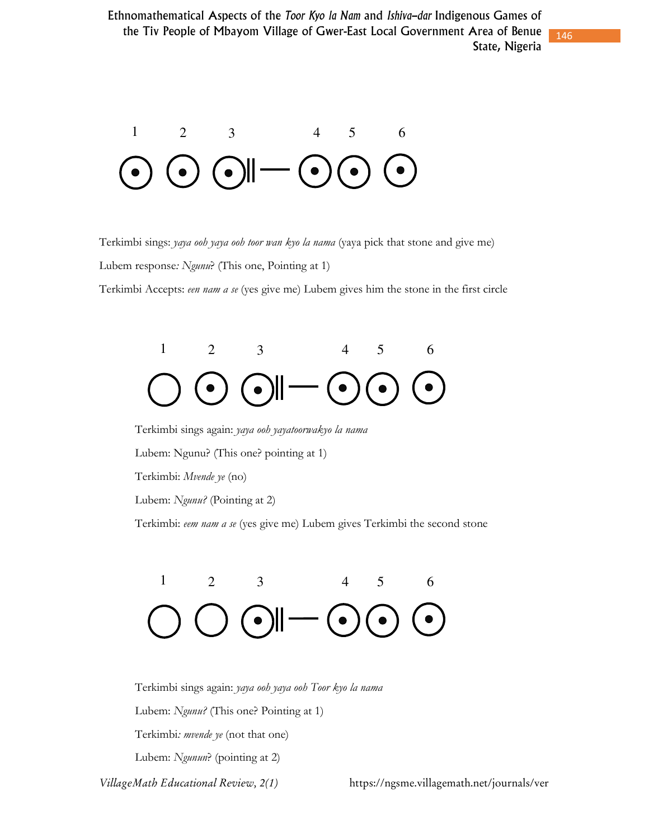146



Terkimbi sings: *yaya ooh yaya ooh toor wan kyo la nama* (yaya pick that stone and give me)

Lubem response*: Ngunu*? (This one, Pointing at 1)

Terkimbi Accepts: *een nam a se* (yes give me) Lubem gives him the stone in the first circle



Terkimbi sings again: *yaya ooh yayatoorwakyo la nama* Lubem: Ngunu? (This one? pointing at 1) Terkimbi: *Mvende ye* (no)

Lubem: *Ngunu?* (Pointing at 2)

Terkimbi: *eem nam a se* (yes give me) Lubem gives Terkimbi the second stone



Terkimbi sings again: *yaya ooh yaya ooh Toor kyo la nama* Lubem: *Ngunu?* (This one? Pointing at 1) Terkimbi*: mvende ye* (not that one) Lubem: *Ngunun*? (pointing at 2)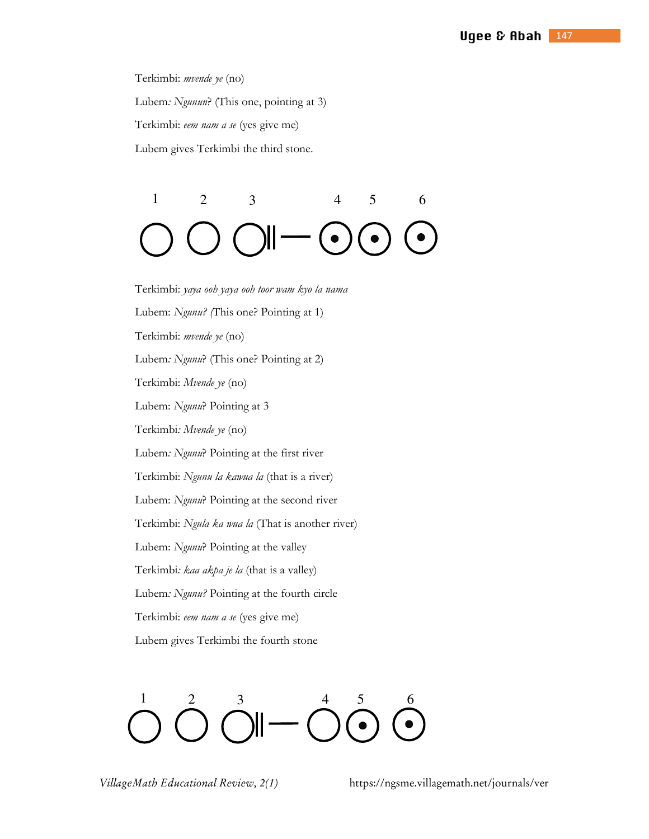Terkimbi: *mvende ye* (no) Lubem*: Ngunun*? (This one, pointing at 3) Terkimbi: *eem nam a se* (yes give me) Lubem gives Terkimbi the third stone.

 $1 \t 2 \t 3 \t 4 \t 5 \t 6$ 

Terkimbi: *yaya ooh yaya ooh toor wam kyo la nama* Lubem: *Ngunu? (*This one? Pointing at 1) Terkimbi: *mvende ye* (no) Lubem*: Ngunu*? (This one? Pointing at 2) Terkimbi: *Mvende ye* (no) Lubem: *Ngunu*? Pointing at 3 Terkimbi*: Mvende ye* (no) Lubem*: Ngunu*? Pointing at the first river Terkimbi: *Ngunu la kawua la* (that is a river) Lubem: *Ngunu*? Pointing at the second river Terkimbi: *Ngula ka wua la* (That is another river) Lubem: *Ngunu*? Pointing at the valley Terkimbi*: kaa akpa je la* (that is a valley) Lubem*: Ngunu?* Pointing at the fourth circle Terkimbi: *eem nam a se* (yes give me) Lubem gives Terkimbi the fourth stone

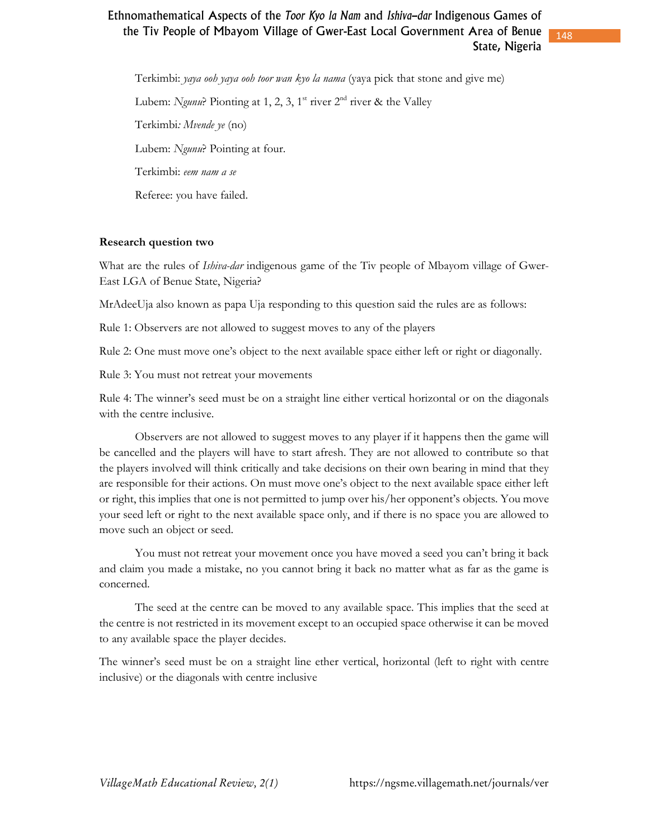148

Terkimbi: *yaya ooh yaya ooh toor wan kyo la nama* (yaya pick that stone and give me) Lubem: *Ngunu*? Pionting at 1, 2, 3, 1<sup>st</sup> river  $2<sup>nd</sup>$  river & the Valley Terkimbi*: Mvende ye* (no) Lubem: *Ngunu*? Pointing at four. Terkimbi: *eem nam a se* Referee: you have failed.

### **Research question two**

What are the rules of *Ishiva-dar* indigenous game of the Tiv people of Mbayom village of Gwer-East LGA of Benue State, Nigeria?

MrAdeeUja also known as papa Uja responding to this question said the rules are as follows:

Rule 1: Observers are not allowed to suggest moves to any of the players

Rule 2: One must move one's object to the next available space either left or right or diagonally.

Rule 3: You must not retreat your movements

Rule 4: The winner's seed must be on a straight line either vertical horizontal or on the diagonals with the centre inclusive.

 Observers are not allowed to suggest moves to any player if it happens then the game will be cancelled and the players will have to start afresh. They are not allowed to contribute so that the players involved will think critically and take decisions on their own bearing in mind that they are responsible for their actions. On must move one's object to the next available space either left or right, this implies that one is not permitted to jump over his/her opponent's objects. You move your seed left or right to the next available space only, and if there is no space you are allowed to move such an object or seed.

 You must not retreat your movement once you have moved a seed you can't bring it back and claim you made a mistake, no you cannot bring it back no matter what as far as the game is concerned.

 The seed at the centre can be moved to any available space. This implies that the seed at the centre is not restricted in its movement except to an occupied space otherwise it can be moved to any available space the player decides.

The winner's seed must be on a straight line ether vertical, horizontal (left to right with centre inclusive) or the diagonals with centre inclusive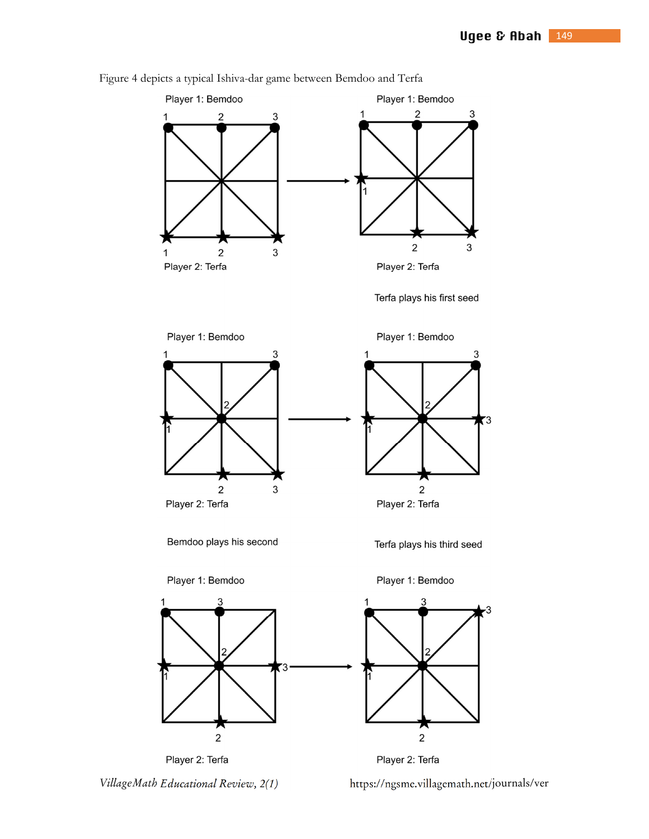

Figure 4 depicts a typical Ishiva-dar game between Bemdoo and Terfa

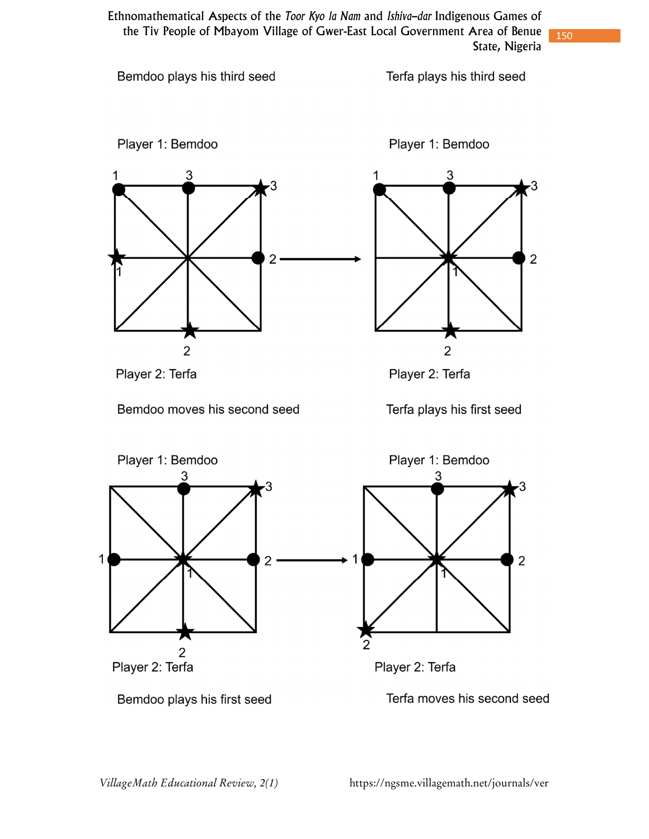Terfa plays his third seed

Bemdoo plays his third seed





1

 $\overline{2}$ 

 $\overline{2}$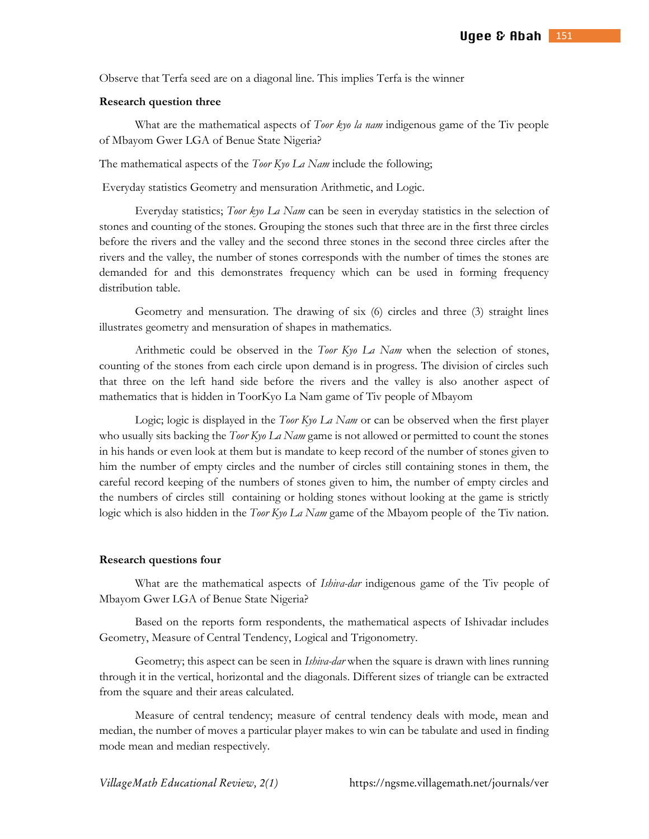Observe that Terfa seed are on a diagonal line. This implies Terfa is the winner

### **Research question three**

 What are the mathematical aspects of *Toor kyo la nam* indigenous game of the Tiv people of Mbayom Gwer LGA of Benue State Nigeria?

The mathematical aspects of the *Toor Kyo La Nam* include the following;

Everyday statistics Geometry and mensuration Arithmetic, and Logic.

 Everyday statistics; *Toor kyo La Nam* can be seen in everyday statistics in the selection of stones and counting of the stones. Grouping the stones such that three are in the first three circles before the rivers and the valley and the second three stones in the second three circles after the rivers and the valley, the number of stones corresponds with the number of times the stones are demanded for and this demonstrates frequency which can be used in forming frequency distribution table.

 Geometry and mensuration. The drawing of six (6) circles and three (3) straight lines illustrates geometry and mensuration of shapes in mathematics.

 Arithmetic could be observed in the *Toor Kyo La Nam* when the selection of stones, counting of the stones from each circle upon demand is in progress. The division of circles such that three on the left hand side before the rivers and the valley is also another aspect of mathematics that is hidden in ToorKyo La Nam game of Tiv people of Mbayom

 Logic; logic is displayed in the *Toor Kyo La Nam* or can be observed when the first player who usually sits backing the *Toor Kyo La Nam* game is not allowed or permitted to count the stones in his hands or even look at them but is mandate to keep record of the number of stones given to him the number of empty circles and the number of circles still containing stones in them, the careful record keeping of the numbers of stones given to him, the number of empty circles and the numbers of circles still containing or holding stones without looking at the game is strictly logic which is also hidden in the *Toor Kyo La Nam* game of the Mbayom people of the Tiv nation.

#### **Research questions four**

 What are the mathematical aspects of *Ishiva-dar* indigenous game of the Tiv people of Mbayom Gwer LGA of Benue State Nigeria?

 Based on the reports form respondents, the mathematical aspects of Ishivadar includes Geometry, Measure of Central Tendency, Logical and Trigonometry.

 Geometry; this aspect can be seen in *Ishiva-dar* when the square is drawn with lines running through it in the vertical, horizontal and the diagonals. Different sizes of triangle can be extracted from the square and their areas calculated.

 Measure of central tendency; measure of central tendency deals with mode, mean and median, the number of moves a particular player makes to win can be tabulate and used in finding mode mean and median respectively.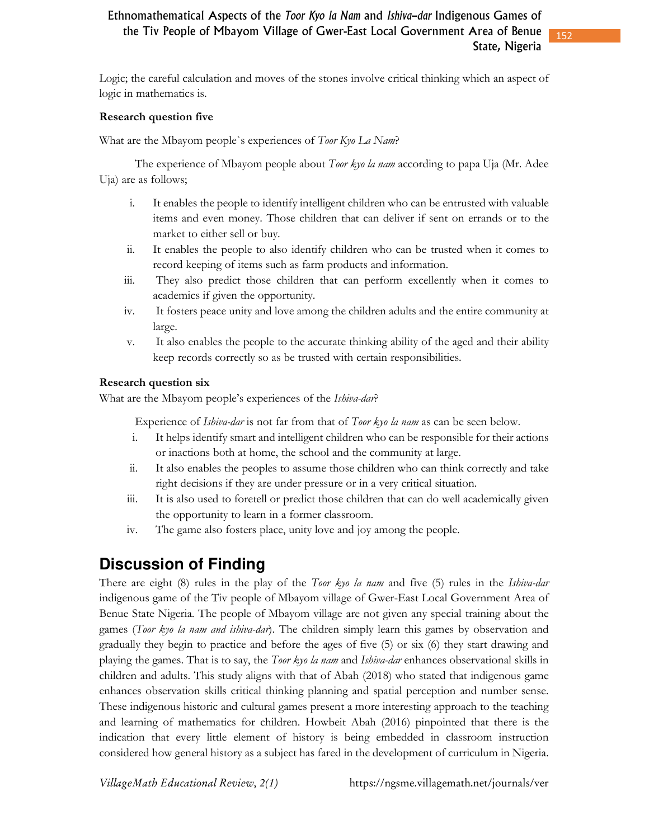152

Logic; the careful calculation and moves of the stones involve critical thinking which an aspect of logic in mathematics is.

### **Research question five**

What are the Mbayom people`s experiences of *Toor Kyo La Nam*?

 The experience of Mbayom people about *Toor kyo la nam* according to papa Uja (Mr. Adee Uja) are as follows;

- i. It enables the people to identify intelligent children who can be entrusted with valuable items and even money. Those children that can deliver if sent on errands or to the market to either sell or buy.
- ii. It enables the people to also identify children who can be trusted when it comes to record keeping of items such as farm products and information.
- iii. They also predict those children that can perform excellently when it comes to academics if given the opportunity.
- iv. It fosters peace unity and love among the children adults and the entire community at large.
- v. It also enables the people to the accurate thinking ability of the aged and their ability keep records correctly so as be trusted with certain responsibilities.

### **Research question six**

What are the Mbayom people's experiences of the *Ishiva-dar*?

Experience of *Ishiva-dar* is not far from that of *Toor kyo la nam* as can be seen below.

- i. It helps identify smart and intelligent children who can be responsible for their actions or inactions both at home, the school and the community at large.
- ii. It also enables the peoples to assume those children who can think correctly and take right decisions if they are under pressure or in a very critical situation.
- iii. It is also used to foretell or predict those children that can do well academically given the opportunity to learn in a former classroom.
- iv. The game also fosters place, unity love and joy among the people.

# **Discussion of Finding**

There are eight (8) rules in the play of the *Toor kyo la nam* and five (5) rules in the *Ishiva-dar* indigenous game of the Tiv people of Mbayom village of Gwer-East Local Government Area of Benue State Nigeria. The people of Mbayom village are not given any special training about the games (*Toor kyo la nam and ishiva-dar*). The children simply learn this games by observation and gradually they begin to practice and before the ages of five (5) or six (6) they start drawing and playing the games. That is to say, the *Toor kyo la nam* and *Ishiva-dar* enhances observational skills in children and adults. This study aligns with that of Abah (2018) who stated that indigenous game enhances observation skills critical thinking planning and spatial perception and number sense. These indigenous historic and cultural games present a more interesting approach to the teaching and learning of mathematics for children. Howbeit Abah (2016) pinpointed that there is the indication that every little element of history is being embedded in classroom instruction considered how general history as a subject has fared in the development of curriculum in Nigeria.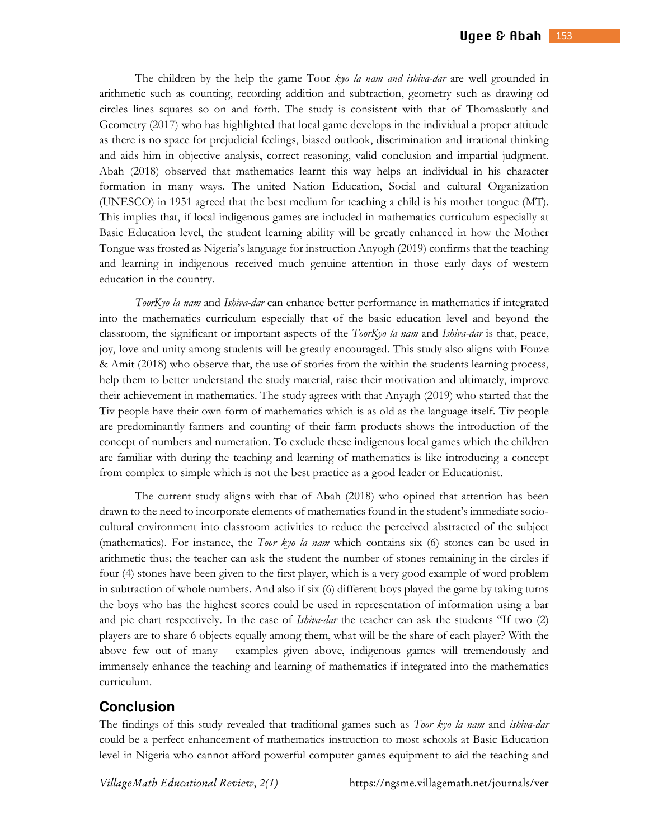The children by the help the game Toor *kyo la nam and ishiva-dar* are well grounded in arithmetic such as counting, recording addition and subtraction, geometry such as drawing od circles lines squares so on and forth. The study is consistent with that of Thomaskutly and Geometry (2017) who has highlighted that local game develops in the individual a proper attitude as there is no space for prejudicial feelings, biased outlook, discrimination and irrational thinking and aids him in objective analysis, correct reasoning, valid conclusion and impartial judgment. Abah (2018) observed that mathematics learnt this way helps an individual in his character formation in many ways. The united Nation Education, Social and cultural Organization (UNESCO) in 1951 agreed that the best medium for teaching a child is his mother tongue (MT). This implies that, if local indigenous games are included in mathematics curriculum especially at Basic Education level, the student learning ability will be greatly enhanced in how the Mother Tongue was frosted as Nigeria's language for instruction Anyogh (2019) confirms that the teaching and learning in indigenous received much genuine attention in those early days of western education in the country.

*ToorKyo la nam* and *Ishiva-dar* can enhance better performance in mathematics if integrated into the mathematics curriculum especially that of the basic education level and beyond the classroom, the significant or important aspects of the *ToorKyo la nam* and *Ishiva-dar* is that, peace, joy, love and unity among students will be greatly encouraged. This study also aligns with Fouze & Amit (2018) who observe that, the use of stories from the within the students learning process, help them to better understand the study material, raise their motivation and ultimately, improve their achievement in mathematics. The study agrees with that Anyagh (2019) who started that the Tiv people have their own form of mathematics which is as old as the language itself. Tiv people are predominantly farmers and counting of their farm products shows the introduction of the concept of numbers and numeration. To exclude these indigenous local games which the children are familiar with during the teaching and learning of mathematics is like introducing a concept from complex to simple which is not the best practice as a good leader or Educationist.

The current study aligns with that of Abah (2018) who opined that attention has been drawn to the need to incorporate elements of mathematics found in the student's immediate sociocultural environment into classroom activities to reduce the perceived abstracted of the subject (mathematics). For instance, the *Toor kyo la nam* which contains six (6) stones can be used in arithmetic thus; the teacher can ask the student the number of stones remaining in the circles if four (4) stones have been given to the first player, which is a very good example of word problem in subtraction of whole numbers. And also if six (6) different boys played the game by taking turns the boys who has the highest scores could be used in representation of information using a bar and pie chart respectively. In the case of *Ishiva-dar* the teacher can ask the students "If two (2) players are to share 6 objects equally among them, what will be the share of each player? With the above few out of many examples given above, indigenous games will tremendously and immensely enhance the teaching and learning of mathematics if integrated into the mathematics curriculum.

# **Conclusion**

The findings of this study revealed that traditional games such as *Toor kyo la nam* and *ishiva-dar* could be a perfect enhancement of mathematics instruction to most schools at Basic Education level in Nigeria who cannot afford powerful computer games equipment to aid the teaching and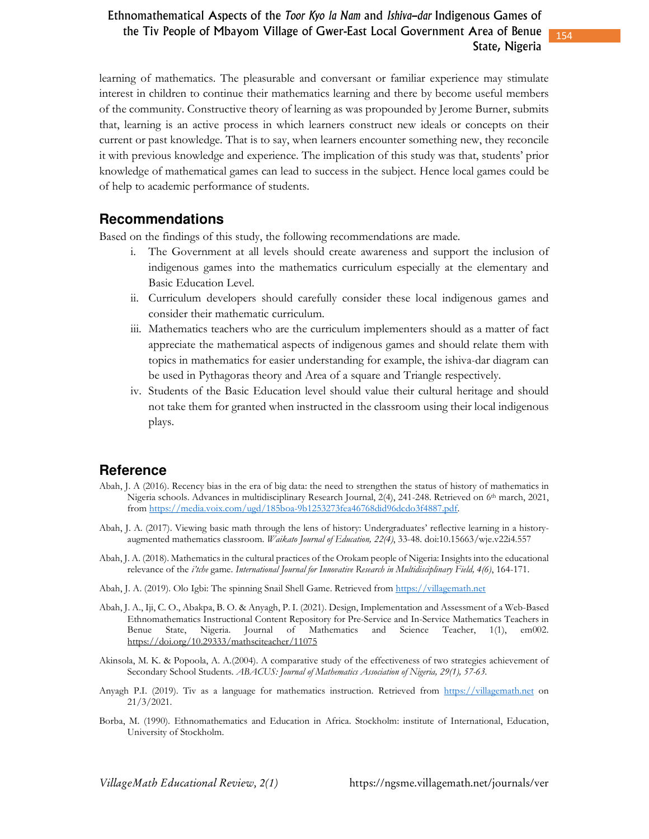154

learning of mathematics. The pleasurable and conversant or familiar experience may stimulate interest in children to continue their mathematics learning and there by become useful members of the community. Constructive theory of learning as was propounded by Jerome Burner, submits that, learning is an active process in which learners construct new ideals or concepts on their current or past knowledge. That is to say, when learners encounter something new, they reconcile it with previous knowledge and experience. The implication of this study was that, students' prior knowledge of mathematical games can lead to success in the subject. Hence local games could be of help to academic performance of students.

## **Recommendations**

Based on the findings of this study, the following recommendations are made.

- i. The Government at all levels should create awareness and support the inclusion of indigenous games into the mathematics curriculum especially at the elementary and Basic Education Level.
- ii. Curriculum developers should carefully consider these local indigenous games and consider their mathematic curriculum.
- iii. Mathematics teachers who are the curriculum implementers should as a matter of fact appreciate the mathematical aspects of indigenous games and should relate them with topics in mathematics for easier understanding for example, the ishiva-dar diagram can be used in Pythagoras theory and Area of a square and Triangle respectively.
- iv. Students of the Basic Education level should value their cultural heritage and should not take them for granted when instructed in the classroom using their local indigenous plays.

# **Reference**

- Abah, J. A (2016). Recency bias in the era of big data: the need to strengthen the status of history of mathematics in Nigeria schools. Advances in multidisciplinary Research Journal, 2(4), 241-248. Retrieved on 6th march, 2021, from https://media.voix.com/ugd/185boa-9b1253273fea46768did96dcdo3f4887.pdf.
- Abah, J. A. (2017). Viewing basic math through the lens of history: Undergraduates' reflective learning in a historyaugmented mathematics classroom. *Waikato Journal of Education, 22(4)*, 33-48. doi:10.15663/wje.v22i4.557
- Abah, J. A. (2018). Mathematics in the cultural practices of the Orokam people of Nigeria: Insights into the educational relevance of the *i'tche* game. *International Journal for Innovative Research in Multidisciplinary Field, 4(6)*, 164-171.
- Abah, J. A. (2019). Olo Igbi: The spinning Snail Shell Game. Retrieved from https://villagemath.net
- Abah, J. A., Iji, C. O., Abakpa, B. O. & Anyagh, P. I. (2021). Design, Implementation and Assessment of a Web-Based Ethnomathematics Instructional Content Repository for Pre-Service and In-Service Mathematics Teachers in Benue State, Nigeria. Journal of Mathematics and Science Teacher, 1(1), em002. https://doi.org/10.29333/mathsciteacher/11075
- Akinsola, M. K. & Popoola, A. A.(2004). A comparative study of the effectiveness of two strategies achievement of Secondary School Students*. ABACUS: Journal of Mathematics Association of Nigeria, 29(1), 57-63.*
- Anyagh P.I. (2019). Tiv as a language for mathematics instruction. Retrieved from https://villagemath.net on 21/3/2021.
- Borba, M. (1990). Ethnomathematics and Education in Africa. Stockholm: institute of International, Education, University of Stockholm.